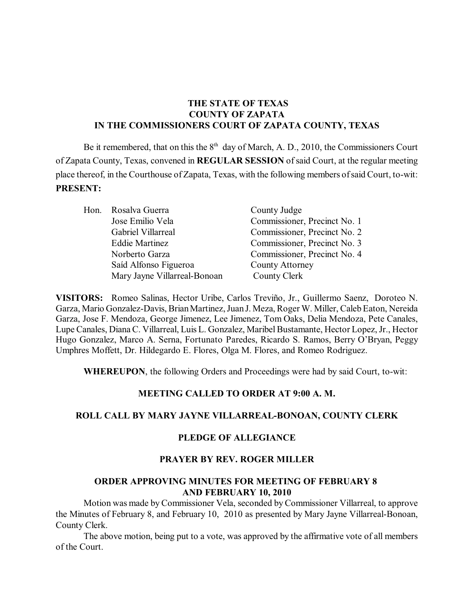# **THE STATE OF TEXAS COUNTY OF ZAPATA IN THE COMMISSIONERS COURT OF ZAPATA COUNTY, TEXAS**

Be it remembered, that on this the  $8<sup>th</sup>$  day of March, A. D., 2010, the Commissioners Court of Zapata County, Texas, convened in **REGULAR SESSION** of said Court, at the regular meeting place thereof, in the Courthouse of Zapata, Texas, with the following members of said Court, to-wit: **PRESENT:**

|  | Hon. Rosalva Guerra          | County Judge                 |  |  |
|--|------------------------------|------------------------------|--|--|
|  | Jose Emilio Vela             | Commissioner, Precinct No. 1 |  |  |
|  | Gabriel Villarreal           | Commissioner, Precinct No. 2 |  |  |
|  | <b>Eddie Martinez</b>        | Commissioner, Precinct No. 3 |  |  |
|  | Norberto Garza               | Commissioner, Precinct No. 4 |  |  |
|  | Saíd Alfonso Figueroa        | <b>County Attorney</b>       |  |  |
|  | Mary Jayne Villarreal-Bonoan | County Clerk                 |  |  |

**VISITORS:** Romeo Salinas, Hector Uribe, Carlos Treviño, Jr., Guillermo Saenz, Doroteo N. Garza, Mario Gonzalez-Davis, BrianMartinez, Juan J. Meza, Roger W. Miller, Caleb Eaton, Nereida Garza, Jose F. Mendoza, George Jimenez, Lee Jimenez, Tom Oaks, Delia Mendoza, Pete Canales, Lupe Canales, Diana C. Villarreal, Luis L. Gonzalez, Maribel Bustamante, Hector Lopez, Jr., Hector Hugo Gonzalez, Marco A. Serna, Fortunato Paredes, Ricardo S. Ramos, Berry O'Bryan, Peggy Umphres Moffett, Dr. Hildegardo E. Flores, Olga M. Flores, and Romeo Rodriguez.

**WHEREUPON**, the following Orders and Proceedings were had by said Court, to-wit:

#### **MEETING CALLED TO ORDER AT 9:00 A. M.**

#### **ROLL CALL BY MARY JAYNE VILLARREAL-BONOAN, COUNTY CLERK**

#### **PLEDGE OF ALLEGIANCE**

#### **PRAYER BY REV. ROGER MILLER**

#### **ORDER APPROVING MINUTES FOR MEETING OF FEBRUARY 8 AND FEBRUARY 10, 2010**

Motion was made by Commissioner Vela, seconded by Commissioner Villarreal, to approve the Minutes of February 8, and February 10, 2010 as presented by Mary Jayne Villarreal-Bonoan, County Clerk.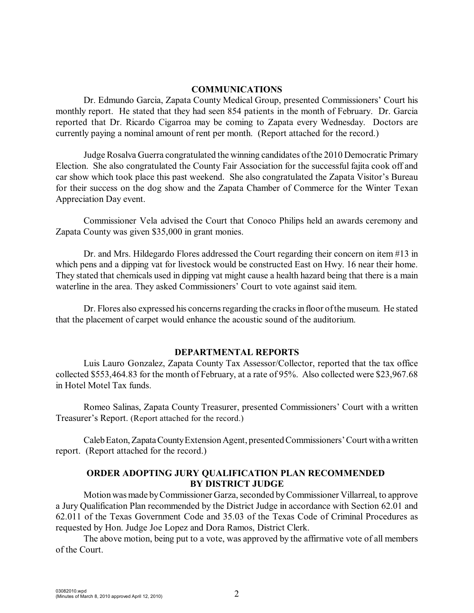#### **COMMUNICATIONS**

Dr. Edmundo Garcia, Zapata County Medical Group, presented Commissioners' Court his monthly report. He stated that they had seen 854 patients in the month of February. Dr. Garcia reported that Dr. Ricardo Cigarroa may be coming to Zapata every Wednesday. Doctors are currently paying a nominal amount of rent per month. (Report attached for the record.)

Judge Rosalva Guerra congratulated the winning candidates of the 2010 Democratic Primary Election. She also congratulated the County Fair Association for the successful fajita cook off and car show which took place this past weekend. She also congratulated the Zapata Visitor's Bureau for their success on the dog show and the Zapata Chamber of Commerce for the Winter Texan Appreciation Day event.

Commissioner Vela advised the Court that Conoco Philips held an awards ceremony and Zapata County was given \$35,000 in grant monies.

Dr. and Mrs. Hildegardo Flores addressed the Court regarding their concern on item #13 in which pens and a dipping vat for livestock would be constructed East on Hwy. 16 near their home. They stated that chemicals used in dipping vat might cause a health hazard being that there is a main waterline in the area. They asked Commissioners' Court to vote against said item.

Dr. Flores also expressed his concerns regarding the cracks in floor ofthe museum. He stated that the placement of carpet would enhance the acoustic sound of the auditorium.

#### **DEPARTMENTAL REPORTS**

Luis Lauro Gonzalez, Zapata County Tax Assessor/Collector, reported that the tax office collected \$553,464.83 for the month of February, at a rate of 95%. Also collected were \$23,967.68 in Hotel Motel Tax funds.

Romeo Salinas, Zapata County Treasurer, presented Commissioners' Court with a written Treasurer's Report. (Report attached for the record.)

Caleb Eaton, Zapata County Extension Agent, presented Commissioners' Court with a written report. (Report attached for the record.)

#### **ORDER ADOPTING JURY QUALIFICATION PLAN RECOMMENDED BY DISTRICT JUDGE**

Motion was made by Commissioner Garza, seconded byCommissioner Villarreal, to approve a Jury Qualification Plan recommended by the District Judge in accordance with Section 62.01 and 62.011 of the Texas Government Code and 35.03 of the Texas Code of Criminal Procedures as requested by Hon. Judge Joe Lopez and Dora Ramos, District Clerk.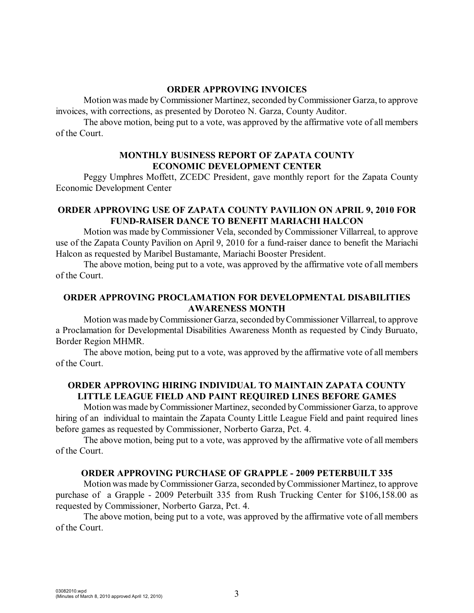#### **ORDER APPROVING INVOICES**

Motion was made by Commissioner Martinez, seconded by Commissioner Garza, to approve invoices, with corrections, as presented by Doroteo N. Garza, County Auditor.

The above motion, being put to a vote, was approved by the affirmative vote of all members of the Court.

#### **MONTHLY BUSINESS REPORT OF ZAPATA COUNTY ECONOMIC DEVELOPMENT CENTER**

Peggy Umphres Moffett, ZCEDC President, gave monthly report for the Zapata County Economic Development Center

### **ORDER APPROVING USE OF ZAPATA COUNTY PAVILION ON APRIL 9, 2010 FOR FUND-RAISER DANCE TO BENEFIT MARIACHI HALCON**

Motion was made byCommissioner Vela, seconded by Commissioner Villarreal, to approve use of the Zapata County Pavilion on April 9, 2010 for a fund-raiser dance to benefit the Mariachi Halcon as requested by Maribel Bustamante, Mariachi Booster President.

The above motion, being put to a vote, was approved by the affirmative vote of all members of the Court.

### **ORDER APPROVING PROCLAMATION FOR DEVELOPMENTAL DISABILITIES AWARENESS MONTH**

Motion was made by Commissioner Garza, seconded by Commissioner Villarreal, to approve a Proclamation for Developmental Disabilities Awareness Month as requested by Cindy Buruato, Border Region MHMR.

The above motion, being put to a vote, was approved by the affirmative vote of all members of the Court.

## **ORDER APPROVING HIRING INDIVIDUAL TO MAINTAIN ZAPATA COUNTY LITTLE LEAGUE FIELD AND PAINT REQUIRED LINES BEFORE GAMES**

Motion was made by Commissioner Martinez, seconded by Commissioner Garza, to approve hiring of an individual to maintain the Zapata County Little League Field and paint required lines before games as requested by Commissioner, Norberto Garza, Pct. 4.

The above motion, being put to a vote, was approved by the affirmative vote of all members of the Court.

#### **ORDER APPROVING PURCHASE OF GRAPPLE - 2009 PETERBUILT 335**

Motion was made by Commissioner Garza, seconded by Commissioner Martinez, to approve purchase of a Grapple - 2009 Peterbuilt 335 from Rush Trucking Center for \$106,158.00 as requested by Commissioner, Norberto Garza, Pct. 4.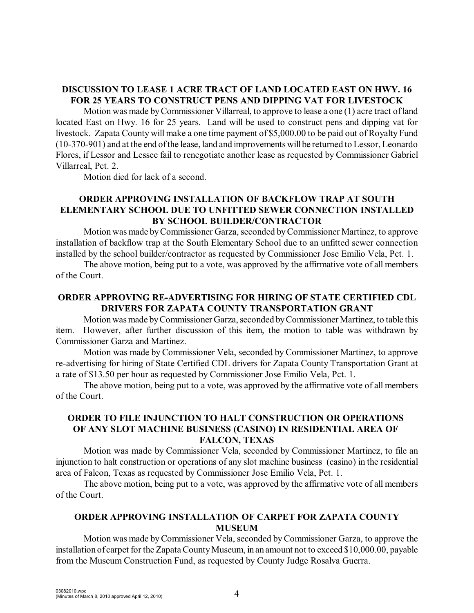# **DISCUSSION TO LEASE 1 ACRE TRACT OF LAND LOCATED EAST ON HWY. 16 FOR 25 YEARS TO CONSTRUCT PENS AND DIPPING VAT FOR LIVESTOCK**

Motion was made byCommissioner Villarreal, to approve to lease a one (1) acre tract of land located East on Hwy. 16 for 25 years. Land will be used to construct pens and dipping vat for livestock. Zapata County will make a one time payment of \$5,000.00 to be paid out of Royalty Fund (10-370-901) and at the end of the lease, land and improvements will be returned to Lessor, Leonardo Flores, if Lessor and Lessee fail to renegotiate another lease as requested by Commissioner Gabriel Villarreal, Pct. 2.

Motion died for lack of a second.

## **ORDER APPROVING INSTALLATION OF BACKFLOW TRAP AT SOUTH ELEMENTARY SCHOOL DUE TO UNFITTED SEWER CONNECTION INSTALLED BY SCHOOL BUILDER/CONTRACTOR**

Motion was made by Commissioner Garza, seconded by Commissioner Martinez, to approve installation of backflow trap at the South Elementary School due to an unfitted sewer connection installed by the school builder/contractor as requested by Commissioner Jose Emilio Vela, Pct. 1.

The above motion, being put to a vote, was approved by the affirmative vote of all members of the Court.

# **ORDER APPROVING RE-ADVERTISING FOR HIRING OF STATE CERTIFIED CDL DRIVERS FOR ZAPATA COUNTY TRANSPORTATION GRANT**

Motion was made by Commissioner Garza, seconded by Commissioner Martinez, to table this item. However, after further discussion of this item, the motion to table was withdrawn by Commissioner Garza and Martinez.

Motion was made by Commissioner Vela, seconded by Commissioner Martinez, to approve re-advertising for hiring of State Certified CDL drivers for Zapata County Transportation Grant at a rate of \$13.50 per hour as requested by Commissioner Jose Emilio Vela, Pct. 1.

The above motion, being put to a vote, was approved by the affirmative vote of all members of the Court.

## **ORDER TO FILE INJUNCTION TO HALT CONSTRUCTION OR OPERATIONS OF ANY SLOT MACHINE BUSINESS (CASINO) IN RESIDENTIAL AREA OF FALCON, TEXAS**

Motion was made by Commissioner Vela, seconded by Commissioner Martinez, to file an injunction to halt construction or operations of any slot machine business (casino) in the residential area of Falcon, Texas as requested by Commissioner Jose Emilio Vela, Pct. 1.

The above motion, being put to a vote, was approved by the affirmative vote of all members of the Court.

# **ORDER APPROVING INSTALLATION OF CARPET FOR ZAPATA COUNTY MUSEUM**

Motion was made byCommissioner Vela, seconded byCommissioner Garza, to approve the installation of carpet for the Zapata County Museum, in an amount not to exceed \$10,000.00, payable from the Museum Construction Fund, as requested by County Judge Rosalva Guerra.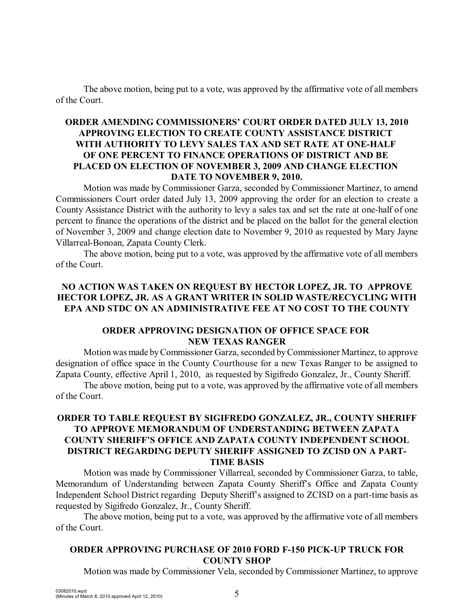The above motion, being put to a vote, was approved by the affirmative vote of all members of the Court.

## **ORDER AMENDING COMMISSIONERS' COURT ORDER DATED JULY 13, 2010 APPROVING ELECTION TO CREATE COUNTY ASSISTANCE DISTRICT WITH AUTHORITY TO LEVY SALES TAX AND SET RATE AT ONE-HALF OF ONE PERCENT TO FINANCE OPERATIONS OF DISTRICT AND BE PLACED ON ELECTION OF NOVEMBER 3, 2009 AND CHANGE ELECTION DATE TO NOVEMBER 9, 2010.**

Motion was made by Commissioner Garza, seconded by Commissioner Martinez, to amend Commissioners Court order dated July 13, 2009 approving the order for an election to create a County Assistance District with the authority to levy a sales tax and set the rate at one-half of one percent to finance the operations of the district and be placed on the ballot for the general election of November 3, 2009 and change election date to November 9, 2010 as requested by Mary Jayne Villarreal-Bonoan, Zapata County Clerk.

The above motion, being put to a vote, was approved by the affirmative vote of all members of the Court.

## **NO ACTION WAS TAKEN ON REQUEST BY HECTOR LOPEZ, JR. TO APPROVE HECTOR LOPEZ, JR. AS A GRANT WRITER IN SOLID WASTE/RECYCLING WITH EPA AND STDC ON AN ADMINISTRATIVE FEE AT NO COST TO THE COUNTY**

## **ORDER APPROVING DESIGNATION OF OFFICE SPACE FOR NEW TEXAS RANGER**

Motion was made by Commissioner Garza, seconded by Commissioner Martinez, to approve designation of office space in the County Courthouse for a new Texas Ranger to be assigned to Zapata County, effective April 1, 2010, as requested by Sigifredo Gonzalez, Jr., County Sheriff.

The above motion, being put to a vote, was approved by the affirmative vote of all members of the Court.

# **ORDER TO TABLE REQUEST BY SIGIFREDO GONZALEZ, JR., COUNTY SHERIFF TO APPROVE MEMORANDUM OF UNDERSTANDING BETWEEN ZAPATA COUNTY SHERIFF'S OFFICE AND ZAPATA COUNTY INDEPENDENT SCHOOL DISTRICT REGARDING DEPUTY SHERIFF ASSIGNED TO ZCISD ON A PART-TIME BASIS**

Motion was made by Commissioner Villarreal, seconded by Commissioner Garza, to table, Memorandum of Understanding between Zapata County Sheriff's Office and Zapata County Independent School District regarding Deputy Sheriff's assigned to ZCISD on a part-time basis as requested by Sigifredo Gonzalez, Jr., County Sheriff.

The above motion, being put to a vote, was approved by the affirmative vote of all members of the Court.

### **ORDER APPROVING PURCHASE OF 2010 FORD F-150 PICK-UP TRUCK FOR COUNTY SHOP**

Motion was made by Commissioner Vela, seconded by Commissioner Martinez, to approve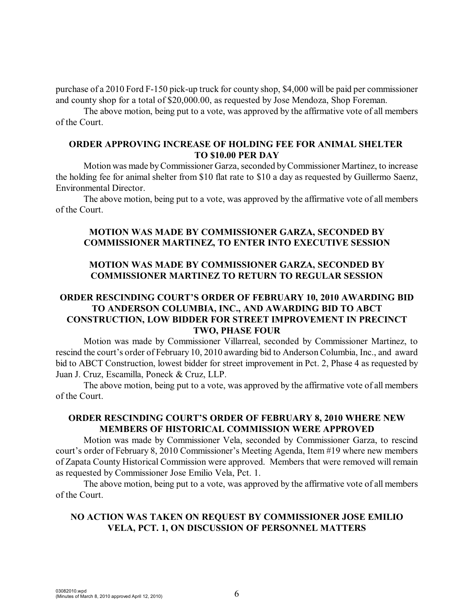purchase of a 2010 Ford F-150 pick-up truck for county shop, \$4,000 will be paid per commissioner and county shop for a total of \$20,000.00, as requested by Jose Mendoza, Shop Foreman.

The above motion, being put to a vote, was approved by the affirmative vote of all members of the Court.

### **ORDER APPROVING INCREASE OF HOLDING FEE FOR ANIMAL SHELTER TO \$10.00 PER DAY**

Motion was made by Commissioner Garza, seconded by Commissioner Martinez, to increase the holding fee for animal shelter from \$10 flat rate to \$10 a day as requested by Guillermo Saenz, Environmental Director.

The above motion, being put to a vote, was approved by the affirmative vote of all members of the Court.

### **MOTION WAS MADE BY COMMISSIONER GARZA, SECONDED BY COMMISSIONER MARTINEZ, TO ENTER INTO EXECUTIVE SESSION**

## **MOTION WAS MADE BY COMMISSIONER GARZA, SECONDED BY COMMISSIONER MARTINEZ TO RETURN TO REGULAR SESSION**

# **ORDER RESCINDING COURT'S ORDER OF FEBRUARY 10, 2010 AWARDING BID TO ANDERSON COLUMBIA, INC., AND AWARDING BID TO ABCT CONSTRUCTION, LOW BIDDER FOR STREET IMPROVEMENT IN PRECINCT TWO, PHASE FOUR**

Motion was made by Commissioner Villarreal, seconded by Commissioner Martinez, to rescind the court's order of February 10, 2010 awarding bid to Anderson Columbia, Inc., and award bid to ABCT Construction, lowest bidder for street improvement in Pct. 2, Phase 4 as requested by Juan J. Cruz, Escamilla, Poneck & Cruz, LLP.

The above motion, being put to a vote, was approved by the affirmative vote of all members of the Court.

## **ORDER RESCINDING COURT'S ORDER OF FEBRUARY 8, 2010 WHERE NEW MEMBERS OF HISTORICAL COMMISSION WERE APPROVED**

Motion was made by Commissioner Vela, seconded by Commissioner Garza, to rescind court's order of February 8, 2010 Commissioner's Meeting Agenda, Item #19 where new members of Zapata County Historical Commission were approved. Members that were removed will remain as requested by Commissioner Jose Emilio Vela, Pct. 1.

The above motion, being put to a vote, was approved by the affirmative vote of all members of the Court.

## **NO ACTION WAS TAKEN ON REQUEST BY COMMISSIONER JOSE EMILIO VELA, PCT. 1, ON DISCUSSION OF PERSONNEL MATTERS**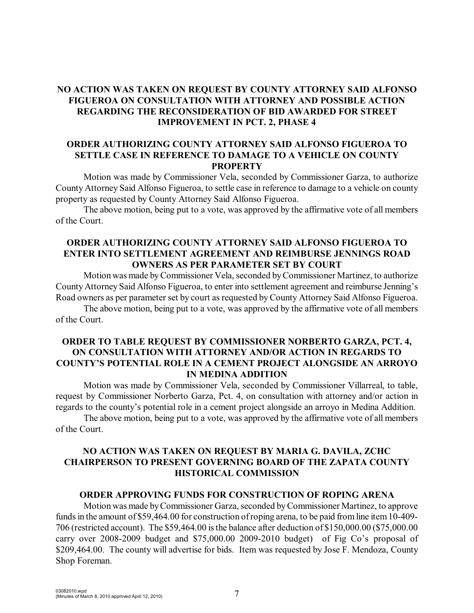# **NO ACTION WAS TAKEN ON REQUEST BY COUNTY ATTORNEY SAID ALFONSO FIGUEROA ON CONSULTATION WITH ATTORNEY AND POSSIBLE ACTION REGARDING THE RECONSIDERATION OF BID AWARDED FOR STREET IMPROVEMENT IN PCT. 2, PHASE 4**

### **ORDER AUTHORIZING COUNTY ATTORNEY SAID ALFONSO FIGUEROA TO SETTLE CASE IN REFERENCE TO DAMAGE TO A VEHICLE ON COUNTY PROPERTY**

Motion was made by Commissioner Vela, seconded by Commissioner Garza, to authorize County Attorney Said Alfonso Figueroa, to settle case in reference to damage to a vehicle on county property as requested by County Attorney Said Alfonso Figueroa.

The above motion, being put to a vote, was approved by the affirmative vote of all members of the Court.

### **ORDER AUTHORIZING COUNTY ATTORNEY SAID ALFONSO FIGUEROA TO ENTER INTO SETTLEMENT AGREEMENT AND REIMBURSE JENNINGS ROAD OWNERS AS PER PARAMETER SET BY COURT**

Motion was made by Commissioner Vela, seconded by Commissioner Martinez, to authorize County Attorney Said Alfonso Figueroa, to enter into settlement agreement and reimburse Jenning's Road owners as per parameter set by court as requested by County Attorney Said Alfonso Figueroa.

The above motion, being put to a vote, was approved by the affirmative vote of all members of the Court.

### **ORDER TO TABLE REQUEST BY COMMISSIONER NORBERTO GARZA, PCT. 4, ON CONSULTATION WITH ATTORNEY AND/OR ACTION IN REGARDS TO COUNTY'S POTENTIAL ROLE IN A CEMENT PROJECT ALONGSIDE AN ARROYO IN MEDINA ADDITION**

Motion was made by Commissioner Vela, seconded by Commissioner Villarreal, to table, request by Commissioner Norberto Garza, Pct. 4, on consultation with attorney and/or action in regards to the county's potential role in a cement project alongside an arroyo in Medina Addition.

The above motion, being put to a vote, was approved by the affirmative vote of all members of the Court.

# **NO ACTION WAS TAKEN ON REQUEST BY MARIA G. DAVILA, ZCHC CHAIRPERSON TO PRESENT GOVERNING BOARD OF THE ZAPATA COUNTY HISTORICAL COMMISSION**

#### **ORDER APPROVING FUNDS FOR CONSTRUCTION OF ROPING ARENA**

Motion was made byCommissioner Garza, seconded by Commissioner Martinez, to approve funds in the amount of \$59,464.00 for construction of roping arena, to be paid from line item 10-409- 706 (restricted account). The \$59,464.00 is the balance after deduction of \$150,000.00 (\$75,000.00 carry over 2008-2009 budget and \$75,000.00 2009-2010 budget) of Fig Co's proposal of \$209,464.00. The county will advertise for bids. Item was requested by Jose F. Mendoza, County Shop Foreman.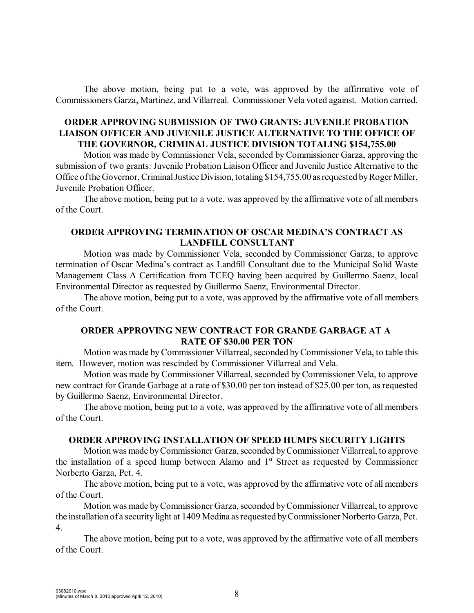The above motion, being put to a vote, was approved by the affirmative vote of Commissioners Garza, Martinez, and Villarreal. Commissioner Vela voted against. Motion carried.

### **ORDER APPROVING SUBMISSION OF TWO GRANTS: JUVENILE PROBATION LIAISON OFFICER AND JUVENILE JUSTICE ALTERNATIVE TO THE OFFICE OF THE GOVERNOR, CRIMINAL JUSTICE DIVISION TOTALING \$154,755.00**

Motion was made by Commissioner Vela, seconded by Commissioner Garza, approving the submission of two grants: Juvenile Probation Liaison Officer and Juvenile Justice Alternative to the Office of the Governor, Criminal Justice Division, totaling \$154,755.00 as requested by Roger Miller, Juvenile Probation Officer.

The above motion, being put to a vote, was approved by the affirmative vote of all members of the Court.

#### **ORDER APPROVING TERMINATION OF OSCAR MEDINA'S CONTRACT AS LANDFILL CONSULTANT**

Motion was made by Commissioner Vela, seconded by Commissioner Garza, to approve termination of Oscar Medina's contract as Landfill Consultant due to the Municipal Solid Waste Management Class A Certification from TCEQ having been acquired by Guillermo Saenz, local Environmental Director as requested by Guillermo Saenz, Environmental Director.

The above motion, being put to a vote, was approved by the affirmative vote of all members of the Court.

## **ORDER APPROVING NEW CONTRACT FOR GRANDE GARBAGE AT A RATE OF \$30.00 PER TON**

Motion was made by Commissioner Villarreal, seconded by Commissioner Vela, to table this item. However, motion was rescinded by Commissioner Villarreal and Vela.

Motion was made by Commissioner Villarreal, seconded by Commissioner Vela, to approve new contract for Grande Garbage at a rate of \$30.00 per ton instead of \$25.00 per ton, as requested by Guillermo Saenz, Environmental Director.

The above motion, being put to a vote, was approved by the affirmative vote of all members of the Court.

#### **ORDER APPROVING INSTALLATION OF SPEED HUMPS SECURITY LIGHTS**

Motion was made byCommissioner Garza, seconded by Commissioner Villarreal, to approve the installation of a speed hump between Alamo and  $1<sup>st</sup>$  Street as requested by Commissioner Norberto Garza, Pct. 4.

The above motion, being put to a vote, was approved by the affirmative vote of all members of the Court.

Motion was made by Commissioner Garza, seconded by Commissioner Villarreal, to approve the installation of a security light at 1409 Medina as requested by Commissioner Norberto Garza, Pct. 4.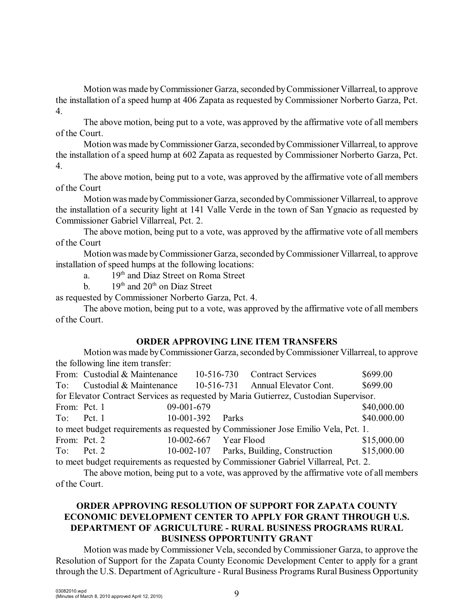Motion was made byCommissioner Garza, seconded by Commissioner Villarreal, to approve the installation of a speed hump at 406 Zapata as requested by Commissioner Norberto Garza, Pct. 4.

The above motion, being put to a vote, was approved by the affirmative vote of all members of the Court.

Motion was made by Commissioner Garza, seconded by Commissioner Villarreal, to approve the installation of a speed hump at 602 Zapata as requested by Commissioner Norberto Garza, Pct. 4.

The above motion, being put to a vote, was approved by the affirmative vote of all members of the Court

Motion was made by Commissioner Garza, seconded by Commissioner Villarreal, to approve the installation of a security light at 141 Valle Verde in the town of San Ygnacio as requested by Commissioner Gabriel Villarreal, Pct. 2.

The above motion, being put to a vote, was approved by the affirmative vote of all members of the Court

Motion was made by Commissioner Garza, seconded byCommissioner Villarreal, to approve installation of speed humps at the following locations:

a.  $19<sup>th</sup>$  and Diaz Street on Roma Street

b.  $19<sup>th</sup>$  and  $20<sup>th</sup>$  on Diaz Street

as requested by Commissioner Norberto Garza, Pct. 4.

The above motion, being put to a vote, was approved by the affirmative vote of all members of the Court.

## **ORDER APPROVING LINE ITEM TRANSFERS**

Motion was made by Commissioner Garza, seconded by Commissioner Villarreal, to approve the following line item transfer:

|                                                                                       | From: Custodial & Maintenance |              |  |                       | 10-516-730 Contract Services             |  | \$699.00    |  |  |
|---------------------------------------------------------------------------------------|-------------------------------|--------------|--|-----------------------|------------------------------------------|--|-------------|--|--|
| To:                                                                                   | Custodial & Maintenance       |              |  |                       | 10-516-731 Annual Elevator Cont.         |  | \$699.00    |  |  |
| for Elevator Contract Services as requested by Maria Gutierrez, Custodian Supervisor. |                               |              |  |                       |                                          |  |             |  |  |
| From: Pct. 1                                                                          |                               | 09-001-679   |  |                       |                                          |  | \$40,000.00 |  |  |
| $To:$ Pct. 1                                                                          |                               | $10-001-392$ |  | <b>Parks</b>          |                                          |  | \$40.000.00 |  |  |
| to meet budget requirements as requested by Commissioner Jose Emilio Vela, Pct. 1.    |                               |              |  |                       |                                          |  |             |  |  |
| From: Pct. 2                                                                          |                               |              |  | 10-002-667 Year Flood |                                          |  | \$15,000.00 |  |  |
| To: Pct. $2$                                                                          |                               |              |  |                       | 10-002-107 Parks, Building, Construction |  | \$15,000.00 |  |  |
| to meet budget requirements as requested by Commissioner Gabriel Villarreal, Pct. 2.  |                               |              |  |                       |                                          |  |             |  |  |

The above motion, being put to a vote, was approved by the affirmative vote of all members of the Court.

# **ORDER APPROVING RESOLUTION OF SUPPORT FOR ZAPATA COUNTY ECONOMIC DEVELOPMENT CENTER TO APPLY FOR GRANT THROUGH U.S. DEPARTMENT OF AGRICULTURE - RURAL BUSINESS PROGRAMS RURAL BUSINESS OPPORTUNITY GRANT**

Motion was made by Commissioner Vela, seconded by Commissioner Garza, to approve the Resolution of Support for the Zapata County Economic Development Center to apply for a grant through the U.S. Department of Agriculture - Rural Business Programs Rural Business Opportunity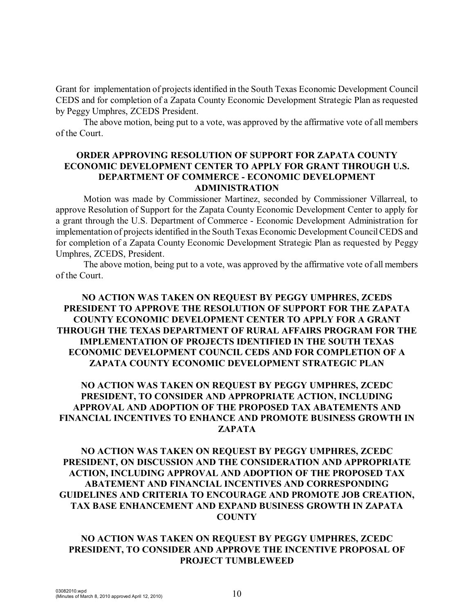Grant for implementation of projectsidentified in the South Texas Economic Development Council CEDS and for completion of a Zapata County Economic Development Strategic Plan as requested by Peggy Umphres, ZCEDS President.

The above motion, being put to a vote, was approved by the affirmative vote of all members of the Court.

#### **ORDER APPROVING RESOLUTION OF SUPPORT FOR ZAPATA COUNTY ECONOMIC DEVELOPMENT CENTER TO APPLY FOR GRANT THROUGH U.S. DEPARTMENT OF COMMERCE - ECONOMIC DEVELOPMENT ADMINISTRATION**

Motion was made by Commissioner Martinez, seconded by Commissioner Villarreal, to approve Resolution of Support for the Zapata County Economic Development Center to apply for a grant through the U.S. Department of Commerce - Economic Development Administration for implementation of projects identified in the South Texas Economic Development Council CEDS and for completion of a Zapata County Economic Development Strategic Plan as requested by Peggy Umphres, ZCEDS, President.

The above motion, being put to a vote, was approved by the affirmative vote of all members of the Court.

## **NO ACTION WAS TAKEN ON REQUEST BY PEGGY UMPHRES, ZCEDS PRESIDENT TO APPROVE THE RESOLUTION OF SUPPORT FOR THE ZAPATA COUNTY ECONOMIC DEVELOPMENT CENTER TO APPLY FOR A GRANT THROUGH THE TEXAS DEPARTMENT OF RURAL AFFAIRS PROGRAM FOR THE IMPLEMENTATION OF PROJECTS IDENTIFIED IN THE SOUTH TEXAS ECONOMIC DEVELOPMENT COUNCIL CEDS AND FOR COMPLETION OF A ZAPATA COUNTY ECONOMIC DEVELOPMENT STRATEGIC PLAN**

# **NO ACTION WAS TAKEN ON REQUEST BY PEGGY UMPHRES, ZCEDC PRESIDENT, TO CONSIDER AND APPROPRIATE ACTION, INCLUDING APPROVAL AND ADOPTION OF THE PROPOSED TAX ABATEMENTS AND FINANCIAL INCENTIVES TO ENHANCE AND PROMOTE BUSINESS GROWTH IN ZAPATA**

## **NO ACTION WAS TAKEN ON REQUEST BY PEGGY UMPHRES, ZCEDC PRESIDENT, ON DISCUSSION AND THE CONSIDERATION AND APPROPRIATE ACTION, INCLUDING APPROVAL AND ADOPTION OF THE PROPOSED TAX ABATEMENT AND FINANCIAL INCENTIVES AND CORRESPONDING GUIDELINES AND CRITERIA TO ENCOURAGE AND PROMOTE JOB CREATION, TAX BASE ENHANCEMENT AND EXPAND BUSINESS GROWTH IN ZAPATA COUNTY**

### **NO ACTION WAS TAKEN ON REQUEST BY PEGGY UMPHRES, ZCEDC PRESIDENT, TO CONSIDER AND APPROVE THE INCENTIVE PROPOSAL OF PROJECT TUMBLEWEED**